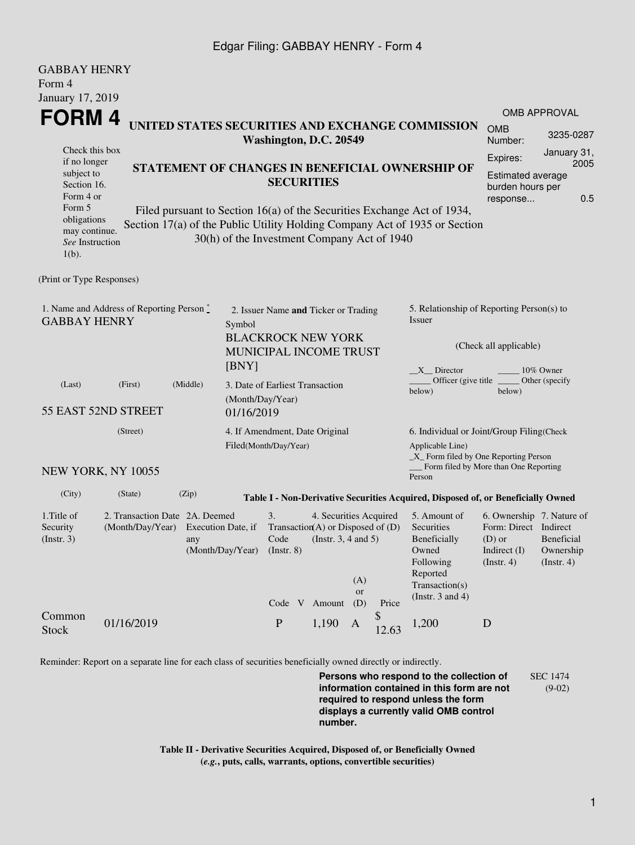## Edgar Filing: GABBAY HENRY - Form 4

| <b>GABBAY HENRY</b>                                                                                                                               |                                                               |                                                                                                                                                                                                                                                                                                        |                                                                                                       |                                                                                |                                                              |                         |                                              |                                                                                                                                                                                                             |                                                                                                        |                                             |  |
|---------------------------------------------------------------------------------------------------------------------------------------------------|---------------------------------------------------------------|--------------------------------------------------------------------------------------------------------------------------------------------------------------------------------------------------------------------------------------------------------------------------------------------------------|-------------------------------------------------------------------------------------------------------|--------------------------------------------------------------------------------|--------------------------------------------------------------|-------------------------|----------------------------------------------|-------------------------------------------------------------------------------------------------------------------------------------------------------------------------------------------------------------|--------------------------------------------------------------------------------------------------------|---------------------------------------------|--|
| Form 4<br>January 17, 2019                                                                                                                        |                                                               |                                                                                                                                                                                                                                                                                                        |                                                                                                       |                                                                                |                                                              |                         |                                              |                                                                                                                                                                                                             |                                                                                                        |                                             |  |
| FORM 4<br>UNITED STATES SECURITIES AND EXCHANGE COMMISSION                                                                                        |                                                               |                                                                                                                                                                                                                                                                                                        |                                                                                                       |                                                                                |                                                              |                         | <b>OMB</b>                                   | <b>OMB APPROVAL</b><br>3235-0287                                                                                                                                                                            |                                                                                                        |                                             |  |
| Check this box<br>if no longer<br>subject to<br>Section 16.<br>Form 4 or<br>Form 5<br>obligations<br>may continue.<br>See Instruction<br>$1(b)$ . |                                                               | Washington, D.C. 20549<br>STATEMENT OF CHANGES IN BENEFICIAL OWNERSHIP OF<br><b>SECURITIES</b><br>Filed pursuant to Section 16(a) of the Securities Exchange Act of 1934,<br>Section 17(a) of the Public Utility Holding Company Act of 1935 or Section<br>30(h) of the Investment Company Act of 1940 |                                                                                                       |                                                                                |                                                              |                         |                                              |                                                                                                                                                                                                             | Number:<br>January 31,<br>Expires:<br>2005<br>Estimated average<br>burden hours per<br>0.5<br>response |                                             |  |
| (Print or Type Responses)                                                                                                                         |                                                               |                                                                                                                                                                                                                                                                                                        |                                                                                                       |                                                                                |                                                              |                         |                                              |                                                                                                                                                                                                             |                                                                                                        |                                             |  |
| 1. Name and Address of Reporting Person *<br><b>GABBAY HENRY</b>                                                                                  |                                                               |                                                                                                                                                                                                                                                                                                        | 2. Issuer Name and Ticker or Trading<br>Symbol<br><b>BLACKROCK NEW YORK</b><br>MUNICIPAL INCOME TRUST |                                                                                |                                                              |                         |                                              | 5. Relationship of Reporting Person(s) to<br><b>Issuer</b><br>(Check all applicable)                                                                                                                        |                                                                                                        |                                             |  |
| (Last)                                                                                                                                            | (First)<br>55 EAST 52ND STREET                                | (Middle)                                                                                                                                                                                                                                                                                               | [BNY]<br>3. Date of Earliest Transaction<br>(Month/Day/Year)<br>01/16/2019                            |                                                                                |                                                              |                         | X Director<br>Officer (give title)<br>below) | 10% Owner<br>Other (specify)<br>below)                                                                                                                                                                      |                                                                                                        |                                             |  |
| (Street)<br>NEW YORK, NY 10055                                                                                                                    |                                                               |                                                                                                                                                                                                                                                                                                        |                                                                                                       | 4. If Amendment, Date Original<br>Filed(Month/Day/Year)                        |                                                              |                         |                                              | 6. Individual or Joint/Group Filing(Check<br>Applicable Line)<br>_X_ Form filed by One Reporting Person<br>Form filed by More than One Reporting                                                            |                                                                                                        |                                             |  |
|                                                                                                                                                   |                                                               |                                                                                                                                                                                                                                                                                                        |                                                                                                       |                                                                                |                                                              |                         |                                              | Person                                                                                                                                                                                                      |                                                                                                        |                                             |  |
| (City)<br>1. Title of<br>Security<br>$($ Instr. 3 $)$                                                                                             | (State)<br>2. Transaction Date 2A. Deemed<br>(Month/Day/Year) | (Zip)<br>Execution Date, if<br>any                                                                                                                                                                                                                                                                     | (Month/Day/Year)                                                                                      | 3.<br>Transaction(A) or Disposed of $(D)$<br>Code<br>$($ Instr. $8)$<br>Code V | 4. Securities Acquired<br>(Instr. $3, 4$ and $5$ )<br>Amount | (A)<br><b>or</b><br>(D) | Price                                        | Table I - Non-Derivative Securities Acquired, Disposed of, or Beneficially Owned<br>5. Amount of<br>Securities<br>Beneficially<br>Owned<br>Following<br>Reported<br>Transaction(s)<br>(Instr. $3$ and $4$ ) | 6. Ownership 7. Nature of<br>Form: Direct Indirect<br>$(D)$ or<br>Indirect (I)<br>(Insert. 4)          | Beneficial<br>Ownership<br>$($ Instr. 4 $)$ |  |
| Common<br><b>Stock</b>                                                                                                                            | 01/16/2019                                                    |                                                                                                                                                                                                                                                                                                        |                                                                                                       | ${\bf P}$                                                                      | 1,190                                                        | A                       | \$<br>12.63                                  | 1,200                                                                                                                                                                                                       | D                                                                                                      |                                             |  |

Reminder: Report on a separate line for each class of securities beneficially owned directly or indirectly.

**Persons who respond to the collection of information contained in this form are not required to respond unless the form displays a currently valid OMB control number.** SEC 1474 (9-02)

**Table II - Derivative Securities Acquired, Disposed of, or Beneficially Owned (***e.g.***, puts, calls, warrants, options, convertible securities)**